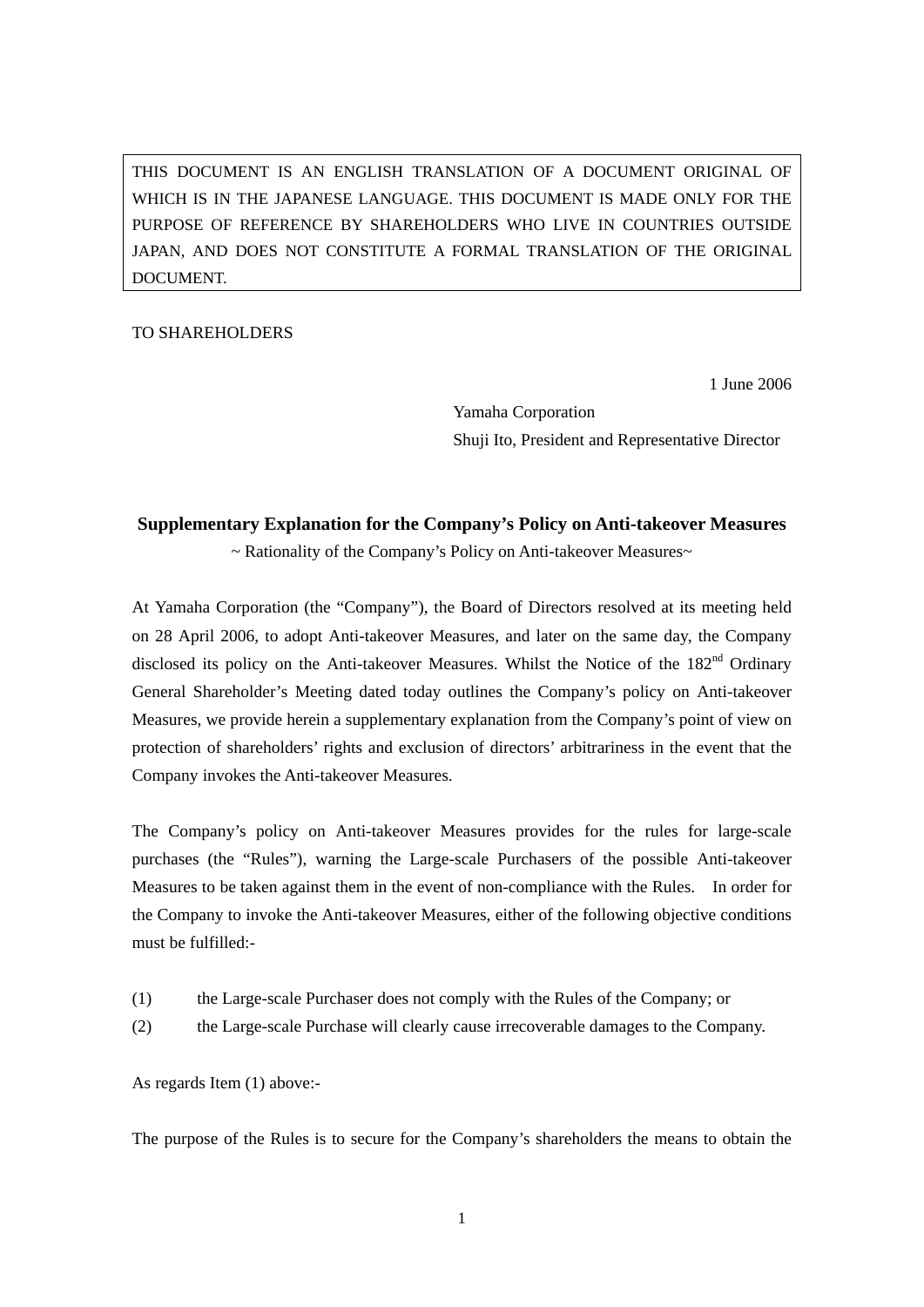THIS DOCUMENT IS AN ENGLISH TRANSLATION OF A DOCUMENT ORIGINAL OF WHICH IS IN THE JAPANESE LANGUAGE. THIS DOCUMENT IS MADE ONLY FOR THE PURPOSE OF REFERENCE BY SHAREHOLDERS WHO LIVE IN COUNTRIES OUTSIDE JAPAN, AND DOES NOT CONSTITUTE A FORMAL TRANSLATION OF THE ORIGINAL DOCUMENT.

## TO SHAREHOLDERS

1 June 2006

 Yamaha Corporation Shuji Ito, President and Representative Director

## **Supplementary Explanation for the Company's Policy on Anti-takeover Measures**

~ Rationality of the Company's Policy on Anti-takeover Measures~

At Yamaha Corporation (the "Company"), the Board of Directors resolved at its meeting held on 28 April 2006, to adopt Anti-takeover Measures, and later on the same day, the Company disclosed its policy on the Anti-takeover Measures. Whilst the Notice of the 182<sup>nd</sup> Ordinary General Shareholder's Meeting dated today outlines the Company's policy on Anti-takeover Measures, we provide herein a supplementary explanation from the Company's point of view on protection of shareholders' rights and exclusion of directors' arbitrariness in the event that the Company invokes the Anti-takeover Measures.

The Company's policy on Anti-takeover Measures provides for the rules for large-scale purchases (the "Rules"), warning the Large-scale Purchasers of the possible Anti-takeover Measures to be taken against them in the event of non-compliance with the Rules. In order for the Company to invoke the Anti-takeover Measures, either of the following objective conditions must be fulfilled:-

- (1) the Large-scale Purchaser does not comply with the Rules of the Company; or
- (2) the Large-scale Purchase will clearly cause irrecoverable damages to the Company.

As regards Item (1) above:-

The purpose of the Rules is to secure for the Company's shareholders the means to obtain the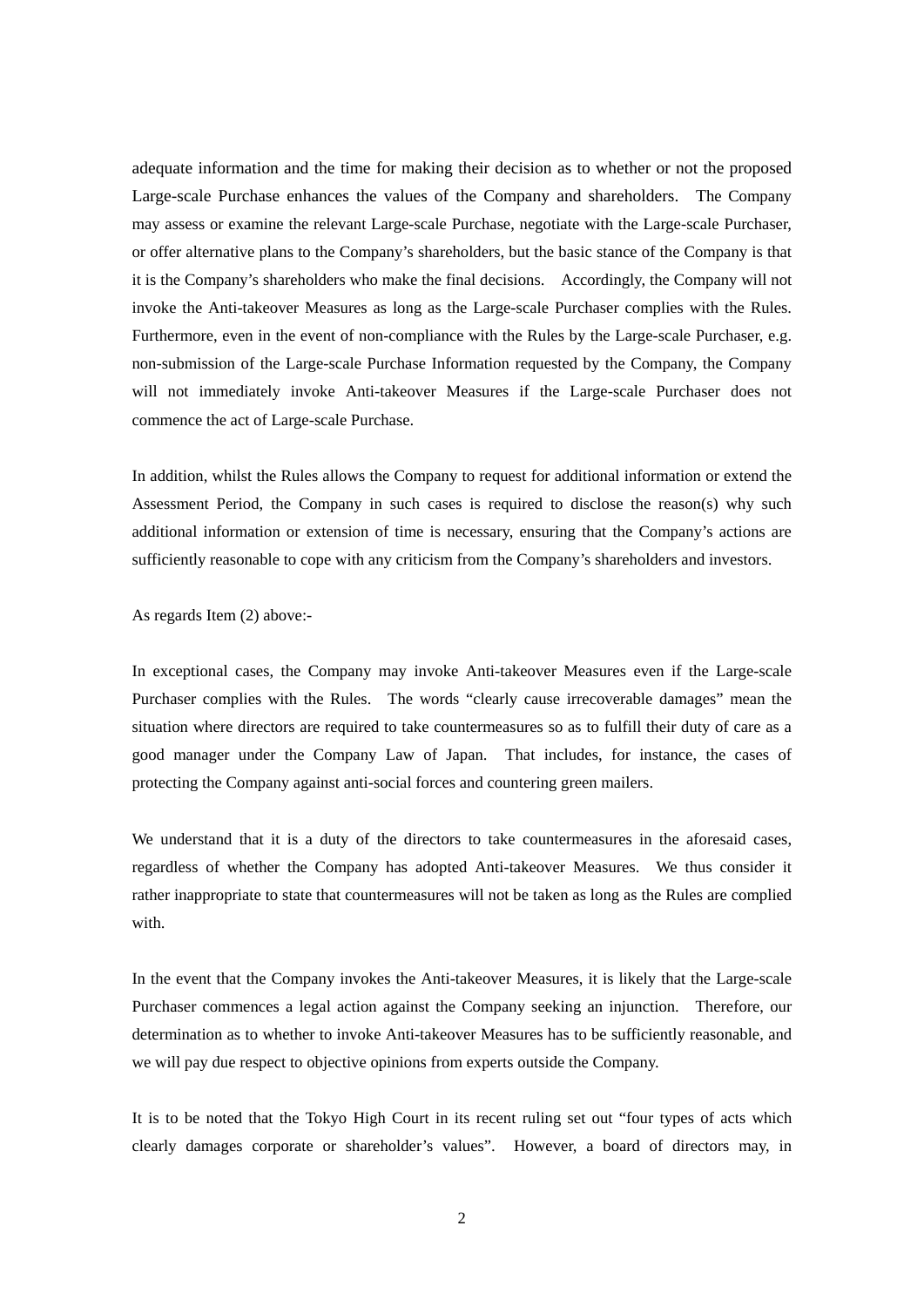adequate information and the time for making their decision as to whether or not the proposed Large-scale Purchase enhances the values of the Company and shareholders. The Company may assess or examine the relevant Large-scale Purchase, negotiate with the Large-scale Purchaser, or offer alternative plans to the Company's shareholders, but the basic stance of the Company is that it is the Company's shareholders who make the final decisions. Accordingly, the Company will not invoke the Anti-takeover Measures as long as the Large-scale Purchaser complies with the Rules. Furthermore, even in the event of non-compliance with the Rules by the Large-scale Purchaser, e.g. non-submission of the Large-scale Purchase Information requested by the Company, the Company will not immediately invoke Anti-takeover Measures if the Large-scale Purchaser does not commence the act of Large-scale Purchase.

In addition, whilst the Rules allows the Company to request for additional information or extend the Assessment Period, the Company in such cases is required to disclose the reason(s) why such additional information or extension of time is necessary, ensuring that the Company's actions are sufficiently reasonable to cope with any criticism from the Company's shareholders and investors.

As regards Item (2) above:-

In exceptional cases, the Company may invoke Anti-takeover Measures even if the Large-scale Purchaser complies with the Rules. The words "clearly cause irrecoverable damages" mean the situation where directors are required to take countermeasures so as to fulfill their duty of care as a good manager under the Company Law of Japan. That includes, for instance, the cases of protecting the Company against anti-social forces and countering green mailers.

We understand that it is a duty of the directors to take countermeasures in the aforesaid cases, regardless of whether the Company has adopted Anti-takeover Measures. We thus consider it rather inappropriate to state that countermeasures will not be taken as long as the Rules are complied with.

In the event that the Company invokes the Anti-takeover Measures, it is likely that the Large-scale Purchaser commences a legal action against the Company seeking an injunction. Therefore, our determination as to whether to invoke Anti-takeover Measures has to be sufficiently reasonable, and we will pay due respect to objective opinions from experts outside the Company.

It is to be noted that the Tokyo High Court in its recent ruling set out "four types of acts which clearly damages corporate or shareholder's values". However, a board of directors may, in